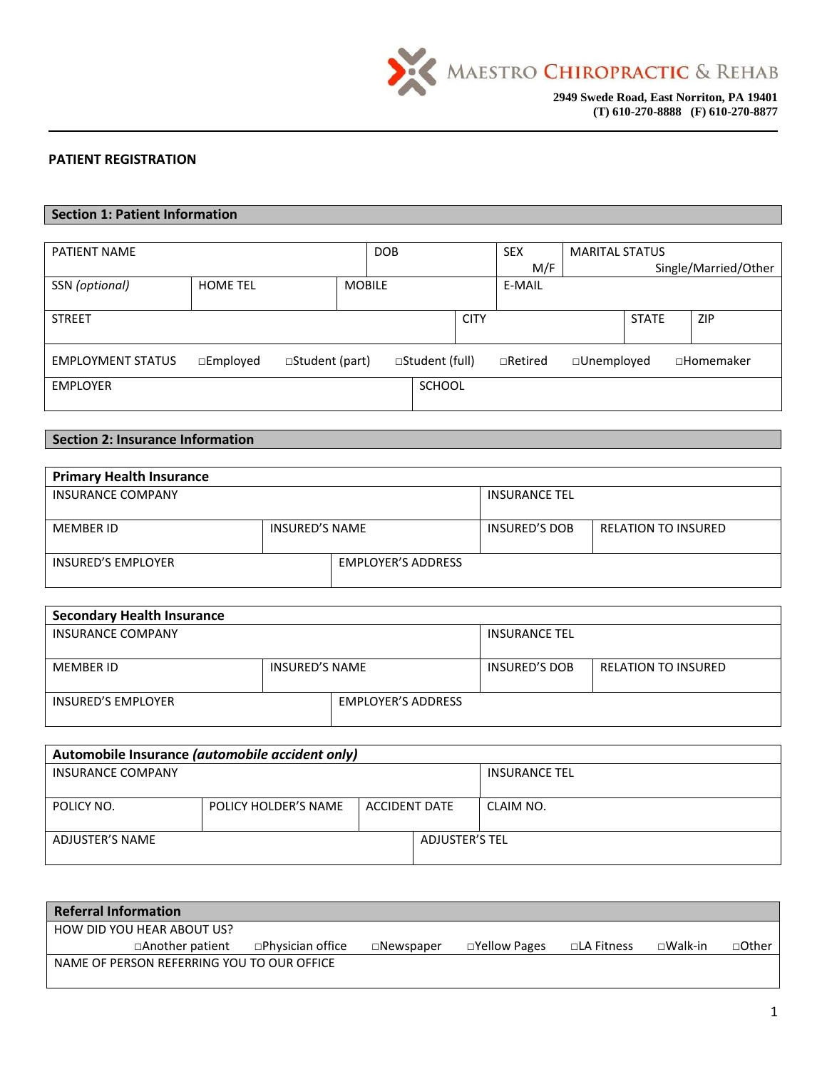

### **PATIENT REGISTRATION**

### **Section 1: Patient Information**

| PATIENT NAME             |                    |                       |               | <b>DOB</b> |                 |             | <b>SEX</b>     | <b>MARITAL STATUS</b> |              |                      |
|--------------------------|--------------------|-----------------------|---------------|------------|-----------------|-------------|----------------|-----------------------|--------------|----------------------|
|                          |                    |                       |               |            |                 |             | M/F            |                       |              | Single/Married/Other |
| SSN (optional)           | <b>HOME TEL</b>    |                       | <b>MOBILE</b> |            |                 |             | E-MAIL         |                       |              |                      |
|                          |                    |                       |               |            |                 |             |                |                       |              |                      |
| <b>STREET</b>            |                    |                       |               |            |                 | <b>CITY</b> |                |                       | <b>STATE</b> | <b>ZIP</b>           |
|                          |                    |                       |               |            |                 |             |                |                       |              |                      |
| <b>EMPLOYMENT STATUS</b> | $\square$ Employed | $\Box$ Student (part) |               |            | □Student (full) |             | $\Box$ Retired | $\square$ Unemployed  |              | □Homemaker           |
| <b>EMPLOYER</b>          |                    |                       |               |            | <b>SCHOOL</b>   |             |                |                       |              |                      |
|                          |                    |                       |               |            |                 |             |                |                       |              |                      |

## **Section 2: Insurance Information**

| <b>Primary Health Insurance</b> |                |                           |                      |                            |  |  |  |
|---------------------------------|----------------|---------------------------|----------------------|----------------------------|--|--|--|
| <b>INSURANCE COMPANY</b>        |                | <b>INSURANCE TEL</b>      |                      |                            |  |  |  |
|                                 |                |                           |                      |                            |  |  |  |
| MEMBER ID                       | INSURED'S NAME |                           | <b>INSURED'S DOB</b> | <b>RELATION TO INSURED</b> |  |  |  |
| <b>INSURED'S EMPLOYER</b>       |                | <b>EMPLOYER'S ADDRESS</b> |                      |                            |  |  |  |

| <b>Secondary Health Insurance</b> |                |                           |               |                     |  |  |  |
|-----------------------------------|----------------|---------------------------|---------------|---------------------|--|--|--|
| <b>INSURANCE COMPANY</b>          |                |                           |               |                     |  |  |  |
|                                   |                |                           |               |                     |  |  |  |
| MEMBER ID                         | INSURED'S NAME |                           | INSURED'S DOB | RELATION TO INSURED |  |  |  |
| INSURED'S EMPLOYER                |                | <b>EMPLOYER'S ADDRESS</b> |               |                     |  |  |  |

| Automobile Insurance (automobile accident only) |                      |               |                       |                      |  |  |
|-------------------------------------------------|----------------------|---------------|-----------------------|----------------------|--|--|
| <b>INSURANCE COMPANY</b>                        |                      |               |                       | <b>INSURANCE TEL</b> |  |  |
|                                                 |                      |               |                       |                      |  |  |
| POLICY NO.                                      | POLICY HOLDER'S NAME | ACCIDENT DATE |                       | CLAIM NO.            |  |  |
|                                                 |                      |               |                       |                      |  |  |
| ADJUSTER'S NAME                                 |                      |               | <b>ADJUSTER'S TEL</b> |                      |  |  |
|                                                 |                      |               |                       |                      |  |  |

| <b>Referral Information</b> |                                            |                   |                     |                     |             |                   |              |
|-----------------------------|--------------------------------------------|-------------------|---------------------|---------------------|-------------|-------------------|--------------|
|                             | HOW DID YOU HEAR ABOUT US?                 |                   |                     |                     |             |                   |              |
|                             | □Another patient                           | □Physician office | $\square$ Newspaper | $\Box$ Yellow Pages | □LA Fitness | $\square$ Walk-in | $\Box$ Other |
|                             | NAME OF PERSON REFERRING YOU TO OUR OFFICE |                   |                     |                     |             |                   |              |
|                             |                                            |                   |                     |                     |             |                   |              |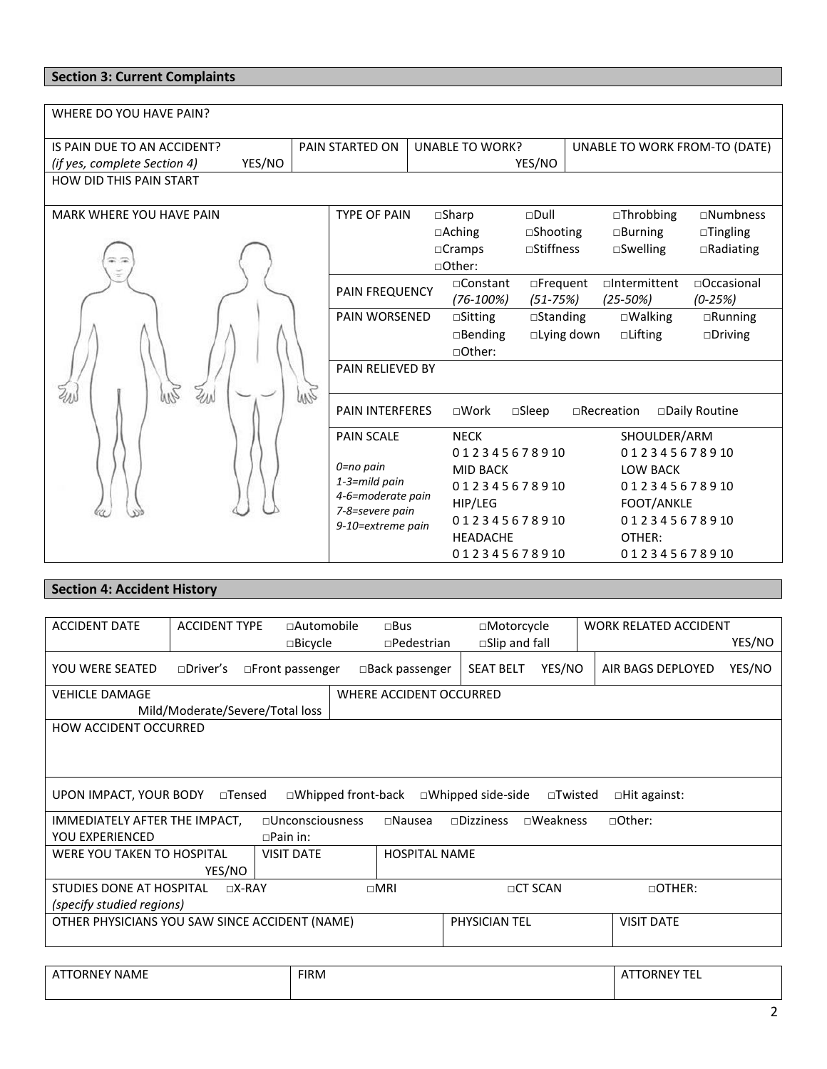# **Section 3: Current Complaints**

| WHERE DO YOU HAVE PAIN?                |                                    |                        |                   |                               |                     |                     |
|----------------------------------------|------------------------------------|------------------------|-------------------|-------------------------------|---------------------|---------------------|
| IS PAIN DUE TO AN ACCIDENT?            | PAIN STARTED ON                    | <b>UNABLE TO WORK?</b> |                   | UNABLE TO WORK FROM-TO (DATE) |                     |                     |
| YES/NO<br>(if yes, complete Section 4) |                                    |                        |                   | YES/NO                        |                     |                     |
| <b>HOW DID THIS PAIN START</b>         |                                    |                        |                   |                               |                     |                     |
| MARK WHERE YOU HAVE PAIN               | <b>TYPE OF PAIN</b>                |                        | $\square$ Sharp   | $\square$ Dull                | $\Box$ Throbbing    | $\square$ Numbness  |
|                                        |                                    |                        | $\Box$ Aching     | $\square$ Shooting            | $\Box$ Burning      | $\Box$ Tingling     |
|                                        |                                    |                        | $\Box$ Cramps     | □Stiffness                    | $\square$ Swelling  | $\Box$ Radiating    |
|                                        |                                    |                        | □Other:           |                               |                     |                     |
|                                        | PAIN FREQUENCY                     |                        | $\Box$ Constant   | □Frequent                     | $\Box$ Intermittent | $\sqcap$ Occasional |
|                                        |                                    |                        | $(76-100%)$       | $(51 - 75%)$                  | $(25 - 50%)$        | $(0-25%)$           |
|                                        | PAIN WORSENED                      |                        | $\square$ Sitting | $\square$ Standing            | $\square$ Walking   | $\Box$ Running      |
|                                        |                                    |                        | $\Box$ Bending    | $\Box$ Lying down             | $\Box$ Lifting      | $\Box$ Driving      |
|                                        |                                    |                        | □Other:           |                               |                     |                     |
|                                        | <b>PAIN RELIEVED BY</b>            |                        |                   |                               |                     |                     |
| WZ                                     |                                    |                        |                   |                               |                     |                     |
|                                        | <b>PAIN INTERFERES</b>             |                        | $\square$ Work    | $\square$ Sleep               | $\Box$ Recreation   | □Daily Routine      |
|                                        | <b>PAIN SCALE</b>                  |                        | <b>NECK</b>       |                               | SHOULDER/ARM        |                     |
|                                        |                                    |                        | 012345678910      |                               | 012345678910        |                     |
|                                        | 0=no pain                          |                        | <b>MID BACK</b>   |                               | <b>LOW BACK</b>     |                     |
|                                        | 1-3=mild pain<br>4-6=moderate pain |                        | 012345678910      |                               | 012345678910        |                     |
|                                        | 7-8=severe pain                    |                        | HIP/LEG           |                               | FOOT/ANKLE          |                     |
|                                        | 9-10=extreme pain                  |                        | 012345678910      |                               | 012345678910        |                     |
|                                        |                                    |                        | <b>HEADACHE</b>   |                               | OTHER:              |                     |
|                                        |                                    |                        | 012345678910      |                               | 012345678910        |                     |

# **Section 4: Accident History**

| <b>ACCIDENT DATE</b>                           | <b>ACCIDENT TYPE</b>            | □Automobile               |  | $\square$ Bus           | □Motorcycle              |                 | <b>WORK RELATED ACCIDENT</b> |        |
|------------------------------------------------|---------------------------------|---------------------------|--|-------------------------|--------------------------|-----------------|------------------------------|--------|
|                                                |                                 | $\square$ Bicycle         |  | $\square$ Pedestrian    | $\square$ Slip and fall  |                 |                              | YES/NO |
| <b>YOU WERE SEATED</b>                         | $\square$ Driver's              | $\Box$ Front passenger    |  | $\Box$ Back passenger   | <b>SEAT BELT</b>         | YES/NO          | AIR BAGS DEPLOYED            | YES/NO |
| <b>VEHICLE DAMAGE</b>                          |                                 |                           |  | WHERE ACCIDENT OCCURRED |                          |                 |                              |        |
|                                                | Mild/Moderate/Severe/Total loss |                           |  |                         |                          |                 |                              |        |
| <b>HOW ACCIDENT OCCURRED</b>                   |                                 |                           |  |                         |                          |                 |                              |        |
|                                                |                                 |                           |  |                         |                          |                 |                              |        |
|                                                |                                 |                           |  |                         |                          |                 |                              |        |
|                                                |                                 |                           |  |                         |                          |                 |                              |        |
| UPON IMPACT, YOUR BODY                         | $\square$ Tensed                | $\Box$ Whipped front-back |  |                         | $\Box$ Whipped side-side | $\Box$ Twisted  | $\Box$ Hit against:          |        |
| IMMEDIATELY AFTER THE IMPACT,                  |                                 | $\Box$ Unconsciousness    |  | $\Box$ Nausea           | $\Box$ Dizziness         | $\Box$ Weakness | □Other:                      |        |
| <b>YOU EXPERIENCED</b>                         |                                 | $\Box$ Pain in:           |  |                         |                          |                 |                              |        |
| <b>WERE YOU TAKEN TO HOSPITAL</b>              |                                 | <b>VISIT DATE</b>         |  | <b>HOSPITAL NAME</b>    |                          |                 |                              |        |
|                                                | YES/NO                          |                           |  |                         |                          |                 |                              |        |
| STUDIES DONE AT HOSPITAL                       |                                 | $\neg X-RAY$              |  | $\Box$ MRI              |                          | $\Box$ CT SCAN  | $\Box$ OTHER:                |        |
| (specify studied regions)                      |                                 |                           |  |                         |                          |                 |                              |        |
| OTHER PHYSICIANS YOU SAW SINCE ACCIDENT (NAME) |                                 |                           |  |                         | PHYSICIAN TEL            |                 | <b>VISIT DATE</b>            |        |
|                                                |                                 |                           |  |                         |                          |                 |                              |        |
|                                                |                                 |                           |  |                         |                          |                 |                              |        |
|                                                |                                 |                           |  |                         |                          |                 |                              |        |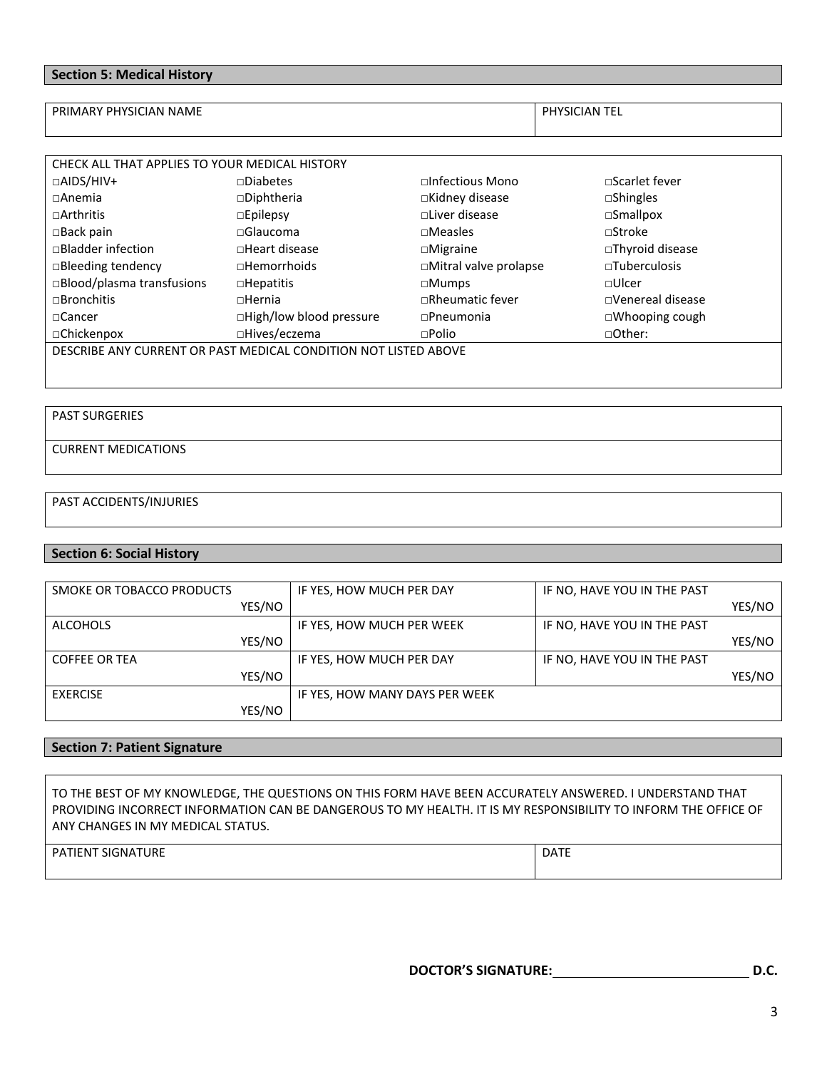### **Section 5: Medical History**

PRIMARY PHYSICIAN NAME PRIMARY PHYSICIAN TEL

| CHECK ALL THAT APPLIES TO YOUR MEDICAL HISTORY                  |                          |                        |                         |  |  |
|-----------------------------------------------------------------|--------------------------|------------------------|-------------------------|--|--|
| $\Box$ AIDS/HIV+                                                | $\neg$ Diabetes          | $\Box$ Infectious Mono | $\Box$ Scarlet fever    |  |  |
| $\Box$ Anemia                                                   | $\square$ Diphtheria     | $\Box$ Kidney disease  | $\square$ Shingles      |  |  |
| $\sqcap$ Arthritis                                              | $\square$ Epilepsy       | $\Box$ Liver disease   | $\square$ Smallpox      |  |  |
| $\square$ Back pain                                             | $\sqcap$ Glaucoma        | $\square$ Measles      | $\Box$ Stroke           |  |  |
| □Bladder infection                                              | $\Box$ Heart disease     | $\Box$ Migraine        | $\Box$ Thyroid disease  |  |  |
| □Bleeding tendency                                              | $\Box$ Hemorrhoids       | □Mitral valve prolapse | $\Box$ Tuberculosis     |  |  |
| □Blood/plasma transfusions                                      | $\square$ Hepatitis      | $\square$ Mumps        | $\Box$ Ulcer            |  |  |
| $\sqcap$ Bronchitis                                             | $n$ Hernia               | $\Box$ Rheumatic fever | $\Box$ Venereal disease |  |  |
| $\sqcap$ Cancer                                                 | □High/low blood pressure | $\Box$ Pneumonia       | $\Box$ Whooping cough   |  |  |
| □Chickenpox                                                     | □Hives/eczema            | $\square$ Polio        | □Other:                 |  |  |
| DESCRIBE ANY CURRENT OR PAST MEDICAL CONDITION NOT LISTED ABOVE |                          |                        |                         |  |  |
|                                                                 |                          |                        |                         |  |  |

## PAST SURGERIES

## CURRENT MEDICATIONS

### PAST ACCIDENTS/INJURIES

### **Section 6: Social History**

| SMOKE OR TOBACCO PRODUCTS | IF YES, HOW MUCH PER DAY       | IF NO, HAVE YOU IN THE PAST |        |
|---------------------------|--------------------------------|-----------------------------|--------|
| YES/NO                    |                                |                             | YES/NO |
| ALCOHOLS                  | IF YES, HOW MUCH PER WEEK      | IF NO, HAVE YOU IN THE PAST |        |
| YES/NO                    |                                |                             | YES/NO |
| <b>COFFEE OR TEA</b>      | IF YES, HOW MUCH PER DAY       | IF NO, HAVE YOU IN THE PAST |        |
| YES/NO                    |                                |                             | YES/NO |
| <b>EXERCISE</b>           | IF YES, HOW MANY DAYS PER WEEK |                             |        |
| YES/NO                    |                                |                             |        |

### **Section 7: Patient Signature**

TO THE BEST OF MY KNOWLEDGE, THE QUESTIONS ON THIS FORM HAVE BEEN ACCURATELY ANSWERED. I UNDERSTAND THAT PROVIDING INCORRECT INFORMATION CAN BE DANGEROUS TO MY HEALTH. IT IS MY RESPONSIBILITY TO INFORM THE OFFICE OF ANY CHANGES IN MY MEDICAL STATUS.

| <b>PATIENT SIGNATURE</b> |  | <b>DATE</b> |
|--------------------------|--|-------------|
|--------------------------|--|-------------|

**DOCTOR'S SIGNATURE: D.C.**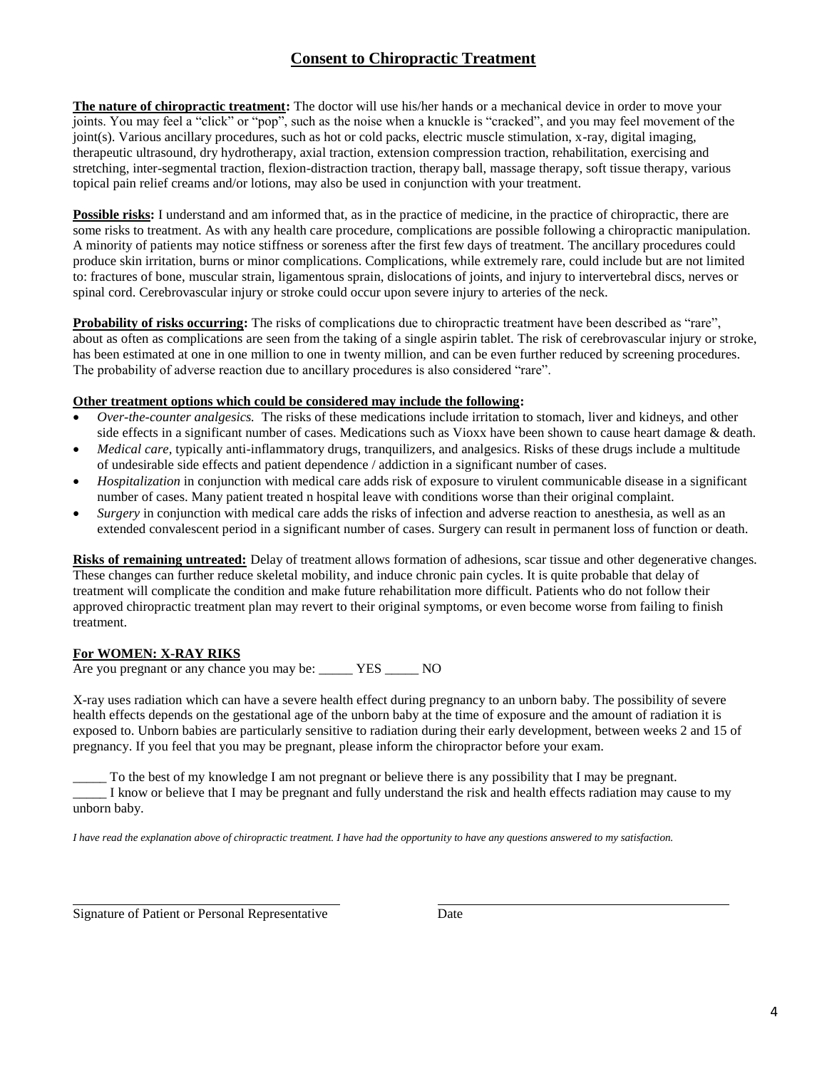# **Consent to Chiropractic Treatment**

**The nature of chiropractic treatment:** The doctor will use his/her hands or a mechanical device in order to move your joints. You may feel a "click" or "pop", such as the noise when a knuckle is "cracked", and you may feel movement of the joint(s). Various ancillary procedures, such as hot or cold packs, electric muscle stimulation, x-ray, digital imaging, therapeutic ultrasound, dry hydrotherapy, axial traction, extension compression traction, rehabilitation, exercising and stretching, inter-segmental traction, flexion-distraction traction, therapy ball, massage therapy, soft tissue therapy, various topical pain relief creams and/or lotions, may also be used in conjunction with your treatment.

**Possible risks:** I understand and am informed that, as in the practice of medicine, in the practice of chiropractic, there are some risks to treatment. As with any health care procedure, complications are possible following a chiropractic manipulation. A minority of patients may notice stiffness or soreness after the first few days of treatment. The ancillary procedures could produce skin irritation, burns or minor complications. Complications, while extremely rare, could include but are not limited to: fractures of bone, muscular strain, ligamentous sprain, dislocations of joints, and injury to intervertebral discs, nerves or spinal cord. Cerebrovascular injury or stroke could occur upon severe injury to arteries of the neck.

**Probability of risks occurring:** The risks of complications due to chiropractic treatment have been described as "rare", about as often as complications are seen from the taking of a single aspirin tablet. The risk of cerebrovascular injury or stroke, has been estimated at one in one million to one in twenty million, and can be even further reduced by screening procedures. The probability of adverse reaction due to ancillary procedures is also considered "rare".

### **Other treatment options which could be considered may include the following:**

- *Over-the-counter analgesics.* The risks of these medications include irritation to stomach, liver and kidneys, and other side effects in a significant number of cases. Medications such as Vioxx have been shown to cause heart damage & death.
- *Medical care,* typically anti-inflammatory drugs, tranquilizers, and analgesics. Risks of these drugs include a multitude of undesirable side effects and patient dependence / addiction in a significant number of cases.
- *Hospitalization* in conjunction with medical care adds risk of exposure to virulent communicable disease in a significant number of cases. Many patient treated n hospital leave with conditions worse than their original complaint.
- *Surgery* in conjunction with medical care adds the risks of infection and adverse reaction to anesthesia, as well as an extended convalescent period in a significant number of cases. Surgery can result in permanent loss of function or death.

**Risks of remaining untreated:** Delay of treatment allows formation of adhesions, scar tissue and other degenerative changes. These changes can further reduce skeletal mobility, and induce chronic pain cycles. It is quite probable that delay of treatment will complicate the condition and make future rehabilitation more difficult. Patients who do not follow their approved chiropractic treatment plan may revert to their original symptoms, or even become worse from failing to finish treatment.

### **For WOMEN: X-RAY RIKS**

Are you pregnant or any chance you may be: \_\_\_\_\_ YES \_\_\_\_\_ NO

X-ray uses radiation which can have a severe health effect during pregnancy to an unborn baby. The possibility of severe health effects depends on the gestational age of the unborn baby at the time of exposure and the amount of radiation it is exposed to. Unborn babies are particularly sensitive to radiation during their early development, between weeks 2 and 15 of pregnancy. If you feel that you may be pregnant, please inform the chiropractor before your exam.

To the best of my knowledge I am not pregnant or believe there is any possibility that I may be pregnant. \_\_\_\_\_ I know or believe that I may be pregnant and fully understand the risk and health effects radiation may cause to my unborn baby.

*I have read the explanation above of chiropractic treatment. I have had the opportunity to have any questions answered to my satisfaction.*

Signature of Patient or Personal Representative Date